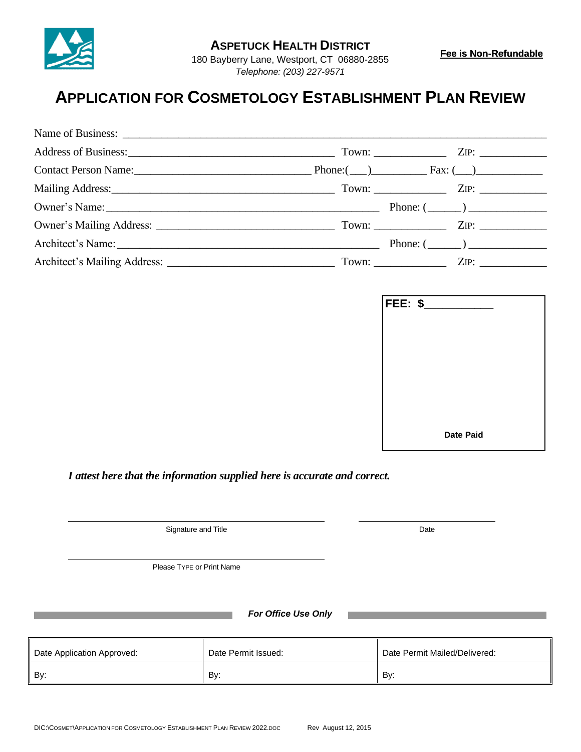

180 Bayberry Lane, Westport, CT 06880-2855 *Telephone: (203) 227-9571*

## **APPLICATION FOR COSMETOLOGY ESTABLISHMENT PLAN REVIEW**

|                                                                             | Town: $\qquad \qquad \qquad \qquad \text{ZIP:}$ |  |
|-----------------------------------------------------------------------------|-------------------------------------------------|--|
|                                                                             |                                                 |  |
| Mailing Address: ZIP: ZIP:                                                  |                                                 |  |
| Owner's Name: $\qquad \qquad$ Phone: $\qquad \qquad$ Phone: $\qquad \qquad$ |                                                 |  |
|                                                                             |                                                 |  |
|                                                                             | Phone: $(\_\_)$                                 |  |
|                                                                             |                                                 |  |

| FEE: \$_ |                  |
|----------|------------------|
|          |                  |
|          |                  |
|          |                  |
|          |                  |
|          |                  |
|          | <b>Date Paid</b> |

*I attest here that the information supplied here is accurate and correct.*

Signature and Title Date

Please TYPE or Print Name

*For Office Use Only*

| Date Application Approved: | Date Permit Issued: | Date Permit Mailed/Delivered: |
|----------------------------|---------------------|-------------------------------|
| By:                        | By:                 | Bv:                           |